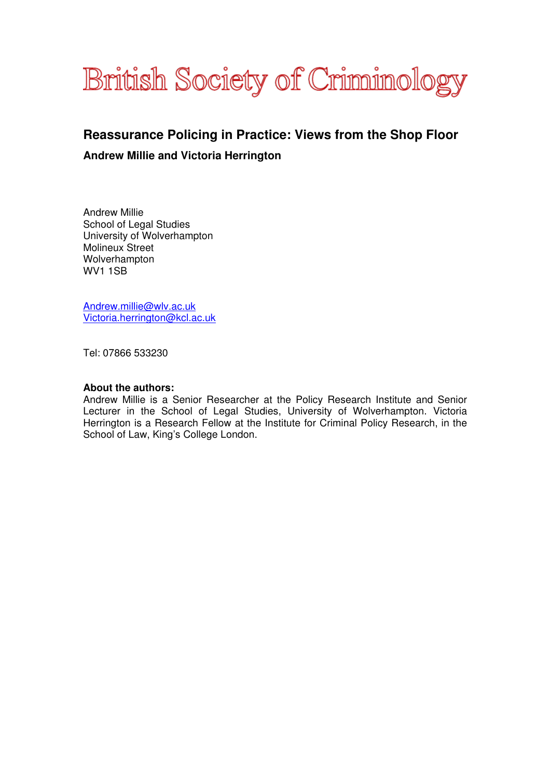

# **Reassurance Policing in Practice: Views from the Shop Floor**

### **Andrew Millie and Victoria Herrington**

Andrew Millie School of Legal Studies University of Wolverhampton Molineux Street Wolverhampton WV1 1SB

Andrew.millie@wlv.ac.uk Victoria.herrington@kcl.ac.uk

Tel: 07866 533230

#### **About the authors:**

Andrew Millie is a Senior Researcher at the Policy Research Institute and Senior Lecturer in the School of Legal Studies, University of Wolverhampton. Victoria Herrington is a Research Fellow at the Institute for Criminal Policy Research, in the School of Law, King's College London.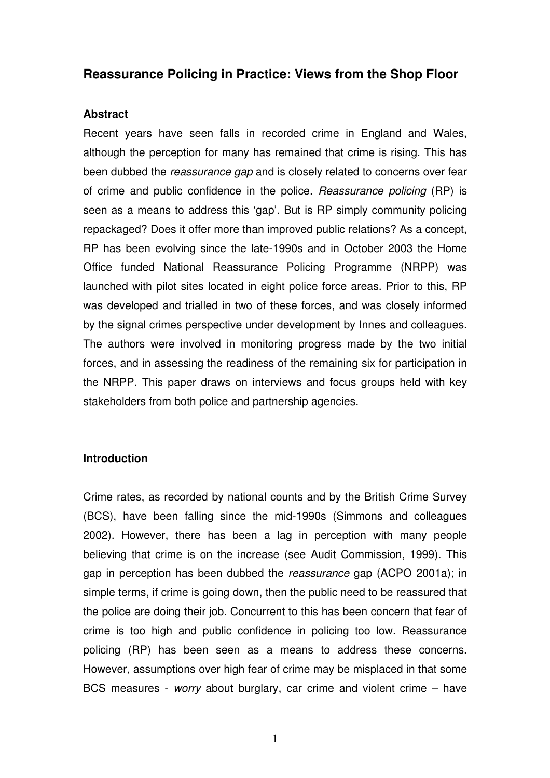# **Reassurance Policing in Practice: Views from the Shop Floor**

### **Abstract**

Recent years have seen falls in recorded crime in England and Wales, although the perception for many has remained that crime is rising. This has been dubbed the reassurance gap and is closely related to concerns over fear of crime and public confidence in the police. Reassurance policing (RP) is seen as a means to address this 'gap'. But is RP simply community policing repackaged? Does it offer more than improved public relations? As a concept, RP has been evolving since the late-1990s and in October 2003 the Home Office funded National Reassurance Policing Programme (NRPP) was launched with pilot sites located in eight police force areas. Prior to this, RP was developed and trialled in two of these forces, and was closely informed by the signal crimes perspective under development by Innes and colleagues. The authors were involved in monitoring progress made by the two initial forces, and in assessing the readiness of the remaining six for participation in the NRPP. This paper draws on interviews and focus groups held with key stakeholders from both police and partnership agencies.

### **Introduction**

Crime rates, as recorded by national counts and by the British Crime Survey (BCS), have been falling since the mid-1990s (Simmons and colleagues 2002). However, there has been a lag in perception with many people believing that crime is on the increase (see Audit Commission, 1999). This gap in perception has been dubbed the reassurance gap (ACPO 2001a); in simple terms, if crime is going down, then the public need to be reassured that the police are doing their job. Concurrent to this has been concern that fear of crime is too high and public confidence in policing too low. Reassurance policing (RP) has been seen as a means to address these concerns. However, assumptions over high fear of crime may be misplaced in that some BCS measures - worry about burglary, car crime and violent crime – have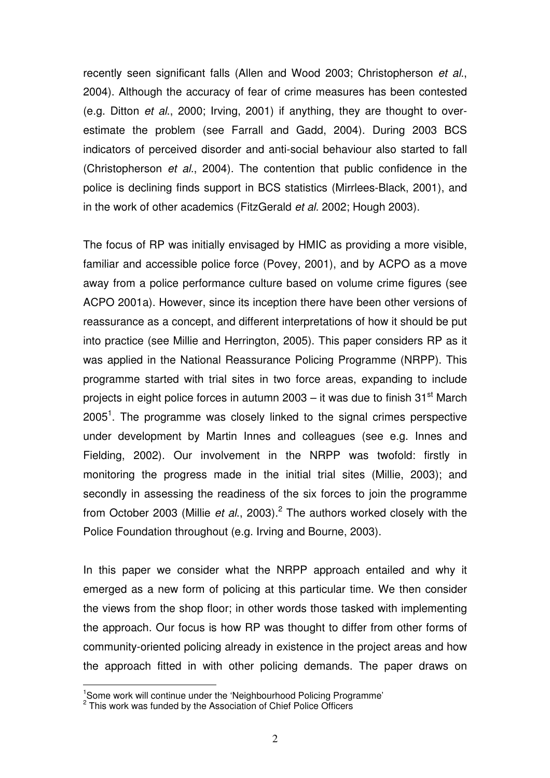recently seen significant falls (Allen and Wood 2003; Christopherson et al., 2004). Although the accuracy of fear of crime measures has been contested (e.g. Ditton et al., 2000; Irving, 2001) if anything, they are thought to overestimate the problem (see Farrall and Gadd, 2004). During 2003 BCS indicators of perceived disorder and anti-social behaviour also started to fall (Christopherson et al., 2004). The contention that public confidence in the police is declining finds support in BCS statistics (Mirrlees-Black, 2001), and in the work of other academics (FitzGerald et al. 2002; Hough 2003).

The focus of RP was initially envisaged by HMIC as providing a more visible, familiar and accessible police force (Povey, 2001), and by ACPO as a move away from a police performance culture based on volume crime figures (see ACPO 2001a). However, since its inception there have been other versions of reassurance as a concept, and different interpretations of how it should be put into practice (see Millie and Herrington, 2005). This paper considers RP as it was applied in the National Reassurance Policing Programme (NRPP). This programme started with trial sites in two force areas, expanding to include projects in eight police forces in autumn 2003 – it was due to finish  $31<sup>st</sup>$  March  $2005<sup>1</sup>$ . The programme was closely linked to the signal crimes perspective under development by Martin Innes and colleagues (see e.g. Innes and Fielding, 2002). Our involvement in the NRPP was twofold: firstly in monitoring the progress made in the initial trial sites (Millie, 2003); and secondly in assessing the readiness of the six forces to join the programme from October 2003 (Millie et al., 2003).<sup>2</sup> The authors worked closely with the Police Foundation throughout (e.g. Irving and Bourne, 2003).

In this paper we consider what the NRPP approach entailed and why it emerged as a new form of policing at this particular time. We then consider the views from the shop floor; in other words those tasked with implementing the approach. Our focus is how RP was thought to differ from other forms of community-oriented policing already in existence in the project areas and how the approach fitted in with other policing demands. The paper draws on

l.

<sup>&</sup>lt;sup>1</sup>Some work will continue under the 'Neighbourhood Policing Programme'<br><sup>2</sup> This work was funded by the Association of Chief Police Officers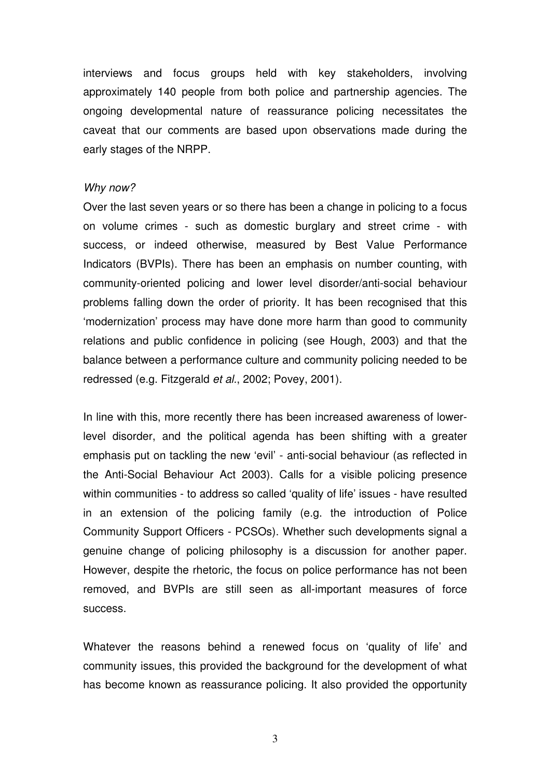interviews and focus groups held with key stakeholders, involving approximately 140 people from both police and partnership agencies. The ongoing developmental nature of reassurance policing necessitates the caveat that our comments are based upon observations made during the early stages of the NRPP.

#### Why now?

Over the last seven years or so there has been a change in policing to a focus on volume crimes - such as domestic burglary and street crime - with success, or indeed otherwise, measured by Best Value Performance Indicators (BVPIs). There has been an emphasis on number counting, with community-oriented policing and lower level disorder/anti-social behaviour problems falling down the order of priority. It has been recognised that this 'modernization' process may have done more harm than good to community relations and public confidence in policing (see Hough, 2003) and that the balance between a performance culture and community policing needed to be redressed (e.g. Fitzgerald et al., 2002; Povey, 2001).

In line with this, more recently there has been increased awareness of lowerlevel disorder, and the political agenda has been shifting with a greater emphasis put on tackling the new 'evil' - anti-social behaviour (as reflected in the Anti-Social Behaviour Act 2003). Calls for a visible policing presence within communities - to address so called 'quality of life' issues - have resulted in an extension of the policing family (e.g. the introduction of Police Community Support Officers - PCSOs). Whether such developments signal a genuine change of policing philosophy is a discussion for another paper. However, despite the rhetoric, the focus on police performance has not been removed, and BVPIs are still seen as all-important measures of force success.

Whatever the reasons behind a renewed focus on 'quality of life' and community issues, this provided the background for the development of what has become known as reassurance policing. It also provided the opportunity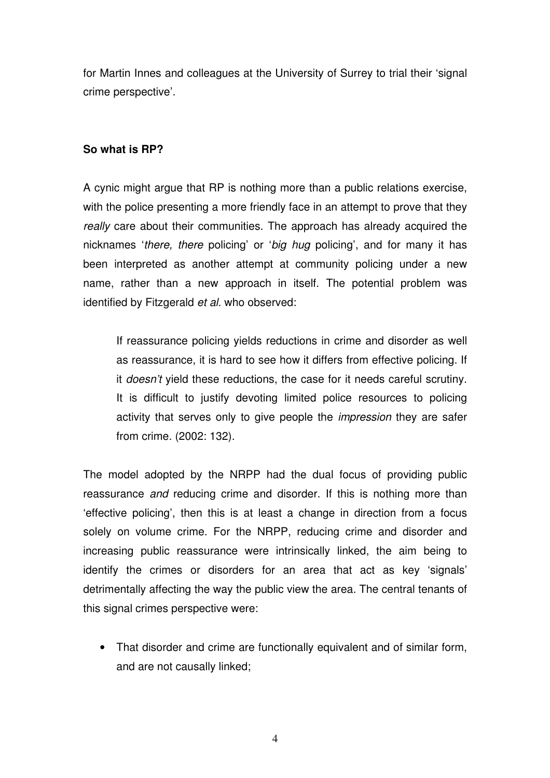for Martin Innes and colleagues at the University of Surrey to trial their 'signal crime perspective'.

### **So what is RP?**

A cynic might argue that RP is nothing more than a public relations exercise, with the police presenting a more friendly face in an attempt to prove that they really care about their communities. The approach has already acquired the nicknames 'there, there policing' or 'big hug policing', and for many it has been interpreted as another attempt at community policing under a new name, rather than a new approach in itself. The potential problem was identified by Fitzgerald et al. who observed:

If reassurance policing yields reductions in crime and disorder as well as reassurance, it is hard to see how it differs from effective policing. If it doesn't yield these reductions, the case for it needs careful scrutiny. It is difficult to justify devoting limited police resources to policing activity that serves only to give people the *impression* they are safer from crime. (2002: 132).

The model adopted by the NRPP had the dual focus of providing public reassurance and reducing crime and disorder. If this is nothing more than 'effective policing', then this is at least a change in direction from a focus solely on volume crime. For the NRPP, reducing crime and disorder and increasing public reassurance were intrinsically linked, the aim being to identify the crimes or disorders for an area that act as key 'signals' detrimentally affecting the way the public view the area. The central tenants of this signal crimes perspective were:

• That disorder and crime are functionally equivalent and of similar form, and are not causally linked;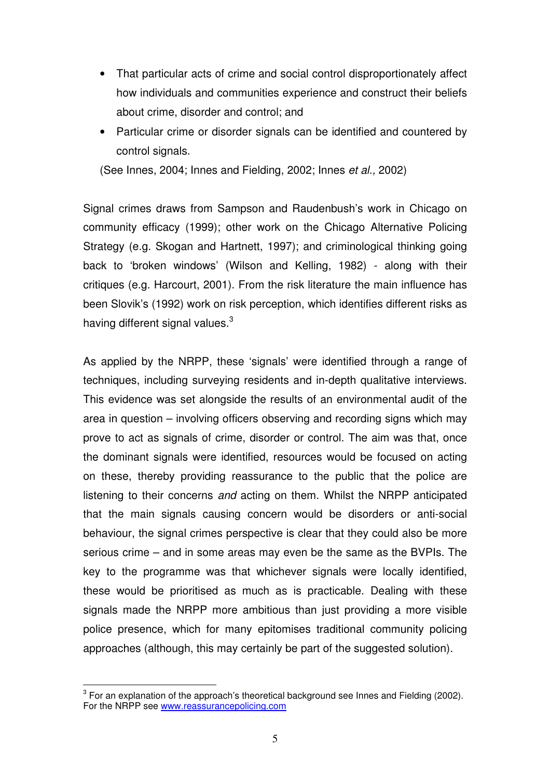- That particular acts of crime and social control disproportionately affect how individuals and communities experience and construct their beliefs about crime, disorder and control; and
- Particular crime or disorder signals can be identified and countered by control signals.

(See Innes, 2004; Innes and Fielding, 2002; Innes et al., 2002)

Signal crimes draws from Sampson and Raudenbush's work in Chicago on community efficacy (1999); other work on the Chicago Alternative Policing Strategy (e.g. Skogan and Hartnett, 1997); and criminological thinking going back to 'broken windows' (Wilson and Kelling, 1982) - along with their critiques (e.g. Harcourt, 2001). From the risk literature the main influence has been Slovik's (1992) work on risk perception, which identifies different risks as having different signal values. $3$ 

As applied by the NRPP, these 'signals' were identified through a range of techniques, including surveying residents and in-depth qualitative interviews. This evidence was set alongside the results of an environmental audit of the area in question – involving officers observing and recording signs which may prove to act as signals of crime, disorder or control. The aim was that, once the dominant signals were identified, resources would be focused on acting on these, thereby providing reassurance to the public that the police are listening to their concerns and acting on them. Whilst the NRPP anticipated that the main signals causing concern would be disorders or anti-social behaviour, the signal crimes perspective is clear that they could also be more serious crime – and in some areas may even be the same as the BVPIs. The key to the programme was that whichever signals were locally identified, these would be prioritised as much as is practicable. Dealing with these signals made the NRPP more ambitious than just providing a more visible police presence, which for many epitomises traditional community policing approaches (although, this may certainly be part of the suggested solution).

l.

 $3$  For an explanation of the approach's theoretical background see Innes and Fielding (2002). For the NRPP see www.reassurancepolicing.com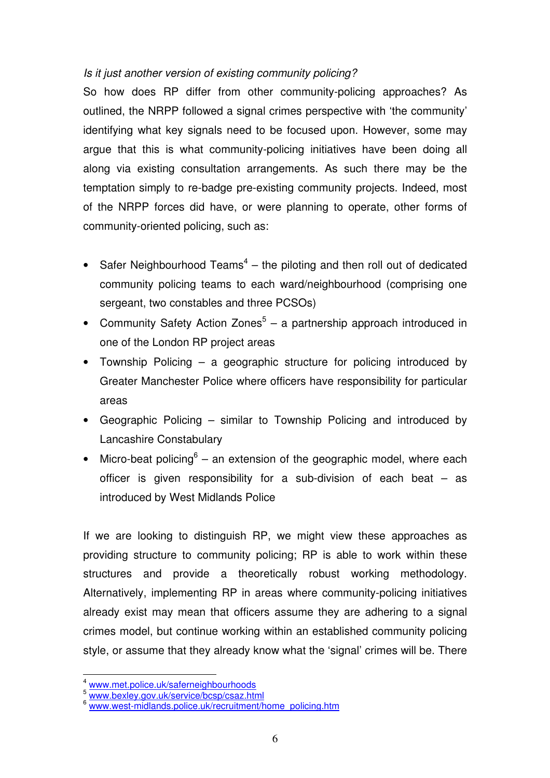# Is it just another version of existing community policing?

So how does RP differ from other community-policing approaches? As outlined, the NRPP followed a signal crimes perspective with 'the community' identifying what key signals need to be focused upon. However, some may argue that this is what community-policing initiatives have been doing all along via existing consultation arrangements. As such there may be the temptation simply to re-badge pre-existing community projects. Indeed, most of the NRPP forces did have, or were planning to operate, other forms of community-oriented policing, such as:

- Safer Neighbourhood Teams<sup>4</sup> the piloting and then roll out of dedicated community policing teams to each ward/neighbourhood (comprising one sergeant, two constables and three PCSOs)
- Community Safety Action Zones<sup>5</sup> a partnership approach introduced in one of the London RP project areas
- Township Policing a geographic structure for policing introduced by Greater Manchester Police where officers have responsibility for particular areas
- Geographic Policing similar to Township Policing and introduced by Lancashire Constabulary
- Micro-beat policing<sup>6</sup> an extension of the geographic model, where each officer is given responsibility for a sub-division of each beat – as introduced by West Midlands Police

If we are looking to distinguish RP, we might view these approaches as providing structure to community policing; RP is able to work within these structures and provide a theoretically robust working methodology. Alternatively, implementing RP in areas where community-policing initiatives already exist may mean that officers assume they are adhering to a signal crimes model, but continue working within an established community policing style, or assume that they already know what the 'signal' crimes will be. There

 $\overline{a}$ 

www.met.police.uk/saferneighbourhoods

<sup>5</sup> www.bexley.gov.uk/service/bcsp/csaz.html

www.west-midlands.police.uk/recruitment/home\_policing.htm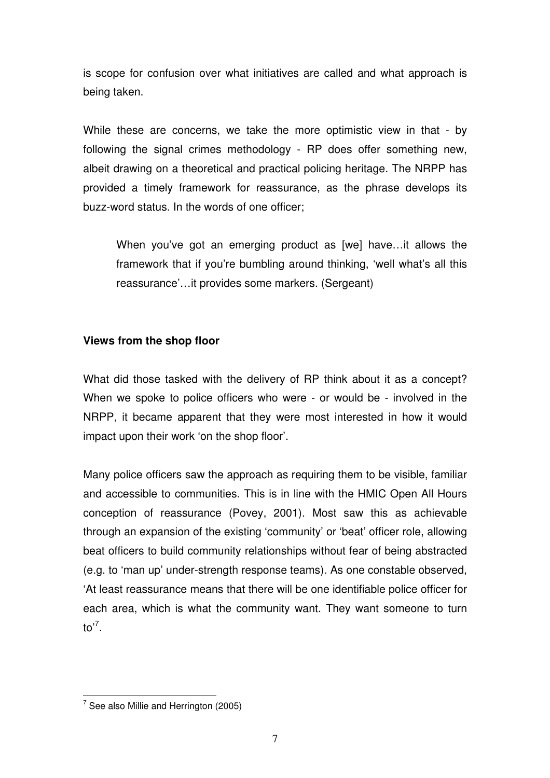is scope for confusion over what initiatives are called and what approach is being taken.

While these are concerns, we take the more optimistic view in that - by following the signal crimes methodology - RP does offer something new, albeit drawing on a theoretical and practical policing heritage. The NRPP has provided a timely framework for reassurance, as the phrase develops its buzz-word status. In the words of one officer;

When you've got an emerging product as [we] have…it allows the framework that if you're bumbling around thinking, 'well what's all this reassurance'…it provides some markers. (Sergeant)

# **Views from the shop floor**

What did those tasked with the delivery of RP think about it as a concept? When we spoke to police officers who were - or would be - involved in the NRPP, it became apparent that they were most interested in how it would impact upon their work 'on the shop floor'.

Many police officers saw the approach as requiring them to be visible, familiar and accessible to communities. This is in line with the HMIC Open All Hours conception of reassurance (Povey, 2001). Most saw this as achievable through an expansion of the existing 'community' or 'beat' officer role, allowing beat officers to build community relationships without fear of being abstracted (e.g. to 'man up' under-strength response teams). As one constable observed, 'At least reassurance means that there will be one identifiable police officer for each area, which is what the community want. They want someone to turn to'<sup>7</sup> .

l.

 $7$  See also Millie and Herrington (2005)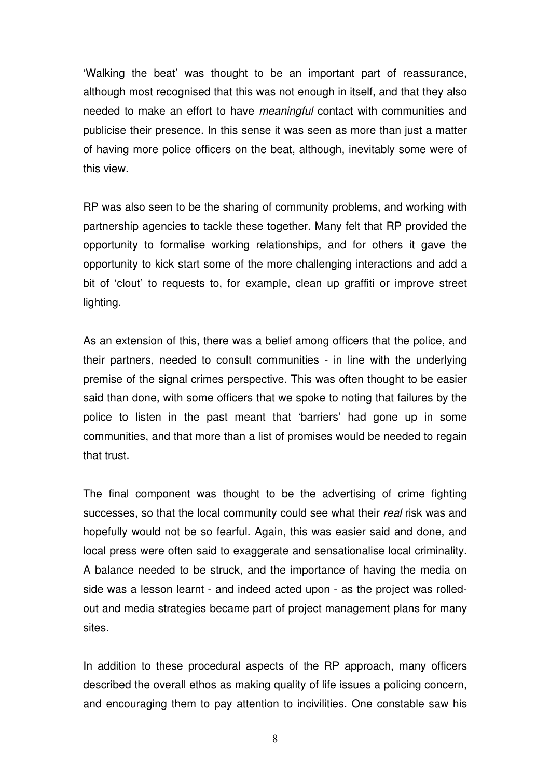'Walking the beat' was thought to be an important part of reassurance, although most recognised that this was not enough in itself, and that they also needed to make an effort to have meaningful contact with communities and publicise their presence. In this sense it was seen as more than just a matter of having more police officers on the beat, although, inevitably some were of this view.

RP was also seen to be the sharing of community problems, and working with partnership agencies to tackle these together. Many felt that RP provided the opportunity to formalise working relationships, and for others it gave the opportunity to kick start some of the more challenging interactions and add a bit of 'clout' to requests to, for example, clean up graffiti or improve street lighting.

As an extension of this, there was a belief among officers that the police, and their partners, needed to consult communities - in line with the underlying premise of the signal crimes perspective. This was often thought to be easier said than done, with some officers that we spoke to noting that failures by the police to listen in the past meant that 'barriers' had gone up in some communities, and that more than a list of promises would be needed to regain that trust.

The final component was thought to be the advertising of crime fighting successes, so that the local community could see what their real risk was and hopefully would not be so fearful. Again, this was easier said and done, and local press were often said to exaggerate and sensationalise local criminality. A balance needed to be struck, and the importance of having the media on side was a lesson learnt - and indeed acted upon - as the project was rolledout and media strategies became part of project management plans for many sites.

In addition to these procedural aspects of the RP approach, many officers described the overall ethos as making quality of life issues a policing concern, and encouraging them to pay attention to incivilities. One constable saw his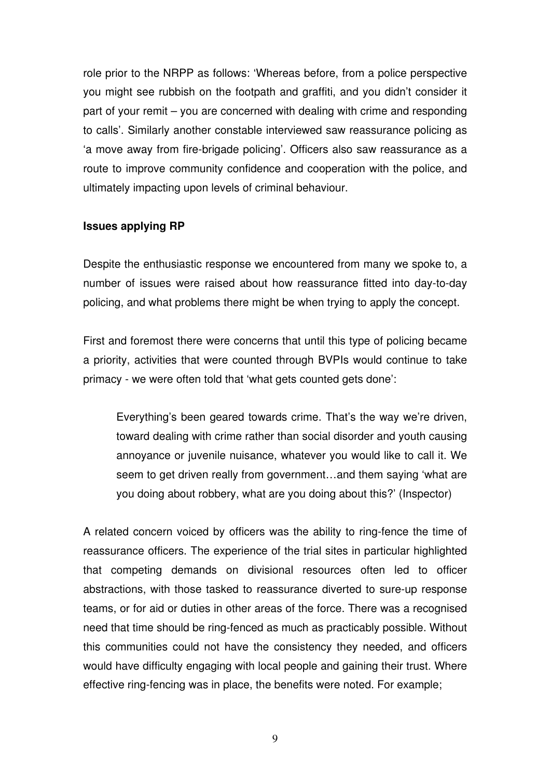role prior to the NRPP as follows: 'Whereas before, from a police perspective you might see rubbish on the footpath and graffiti, and you didn't consider it part of your remit – you are concerned with dealing with crime and responding to calls'. Similarly another constable interviewed saw reassurance policing as 'a move away from fire-brigade policing'. Officers also saw reassurance as a route to improve community confidence and cooperation with the police, and ultimately impacting upon levels of criminal behaviour.

### **Issues applying RP**

Despite the enthusiastic response we encountered from many we spoke to, a number of issues were raised about how reassurance fitted into day-to-day policing, and what problems there might be when trying to apply the concept.

First and foremost there were concerns that until this type of policing became a priority, activities that were counted through BVPIs would continue to take primacy - we were often told that 'what gets counted gets done':

Everything's been geared towards crime. That's the way we're driven, toward dealing with crime rather than social disorder and youth causing annoyance or juvenile nuisance, whatever you would like to call it. We seem to get driven really from government…and them saying 'what are you doing about robbery, what are you doing about this?' (Inspector)

A related concern voiced by officers was the ability to ring-fence the time of reassurance officers. The experience of the trial sites in particular highlighted that competing demands on divisional resources often led to officer abstractions, with those tasked to reassurance diverted to sure-up response teams, or for aid or duties in other areas of the force. There was a recognised need that time should be ring-fenced as much as practicably possible. Without this communities could not have the consistency they needed, and officers would have difficulty engaging with local people and gaining their trust. Where effective ring-fencing was in place, the benefits were noted. For example;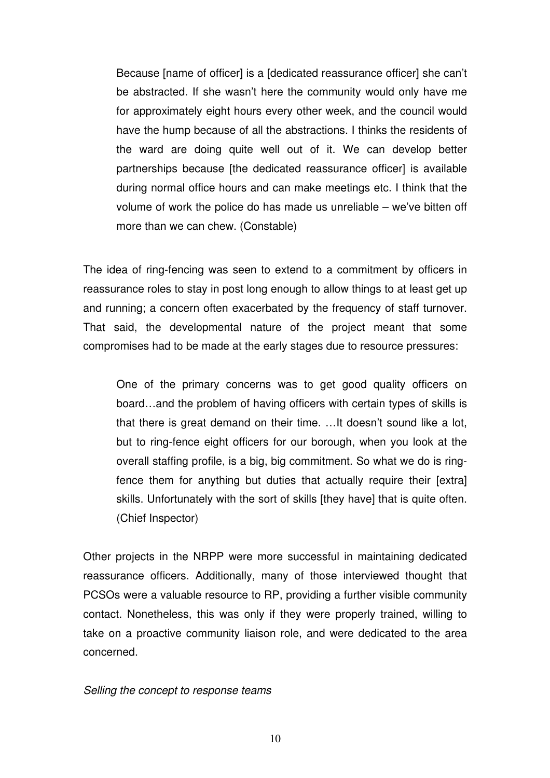Because [name of officer] is a [dedicated reassurance officer] she can't be abstracted. If she wasn't here the community would only have me for approximately eight hours every other week, and the council would have the hump because of all the abstractions. I thinks the residents of the ward are doing quite well out of it. We can develop better partnerships because [the dedicated reassurance officer] is available during normal office hours and can make meetings etc. I think that the volume of work the police do has made us unreliable – we've bitten off more than we can chew. (Constable)

The idea of ring-fencing was seen to extend to a commitment by officers in reassurance roles to stay in post long enough to allow things to at least get up and running; a concern often exacerbated by the frequency of staff turnover. That said, the developmental nature of the project meant that some compromises had to be made at the early stages due to resource pressures:

One of the primary concerns was to get good quality officers on board…and the problem of having officers with certain types of skills is that there is great demand on their time. …It doesn't sound like a lot, but to ring-fence eight officers for our borough, when you look at the overall staffing profile, is a big, big commitment. So what we do is ringfence them for anything but duties that actually require their [extra] skills. Unfortunately with the sort of skills [they have] that is quite often. (Chief Inspector)

Other projects in the NRPP were more successful in maintaining dedicated reassurance officers. Additionally, many of those interviewed thought that PCSOs were a valuable resource to RP, providing a further visible community contact. Nonetheless, this was only if they were properly trained, willing to take on a proactive community liaison role, and were dedicated to the area concerned.

### Selling the concept to response teams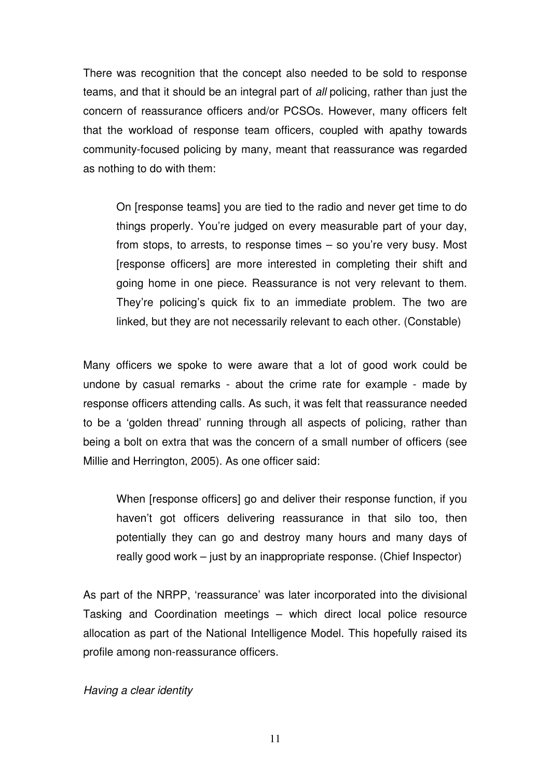There was recognition that the concept also needed to be sold to response teams, and that it should be an integral part of all policing, rather than just the concern of reassurance officers and/or PCSOs. However, many officers felt that the workload of response team officers, coupled with apathy towards community-focused policing by many, meant that reassurance was regarded as nothing to do with them:

On [response teams] you are tied to the radio and never get time to do things properly. You're judged on every measurable part of your day, from stops, to arrests, to response times – so you're very busy. Most [response officers] are more interested in completing their shift and going home in one piece. Reassurance is not very relevant to them. They're policing's quick fix to an immediate problem. The two are linked, but they are not necessarily relevant to each other. (Constable)

Many officers we spoke to were aware that a lot of good work could be undone by casual remarks - about the crime rate for example - made by response officers attending calls. As such, it was felt that reassurance needed to be a 'golden thread' running through all aspects of policing, rather than being a bolt on extra that was the concern of a small number of officers (see Millie and Herrington, 2005). As one officer said:

When [response officers] go and deliver their response function, if you haven't got officers delivering reassurance in that silo too, then potentially they can go and destroy many hours and many days of really good work – just by an inappropriate response. (Chief Inspector)

As part of the NRPP, 'reassurance' was later incorporated into the divisional Tasking and Coordination meetings – which direct local police resource allocation as part of the National Intelligence Model. This hopefully raised its profile among non-reassurance officers.

Having a clear identity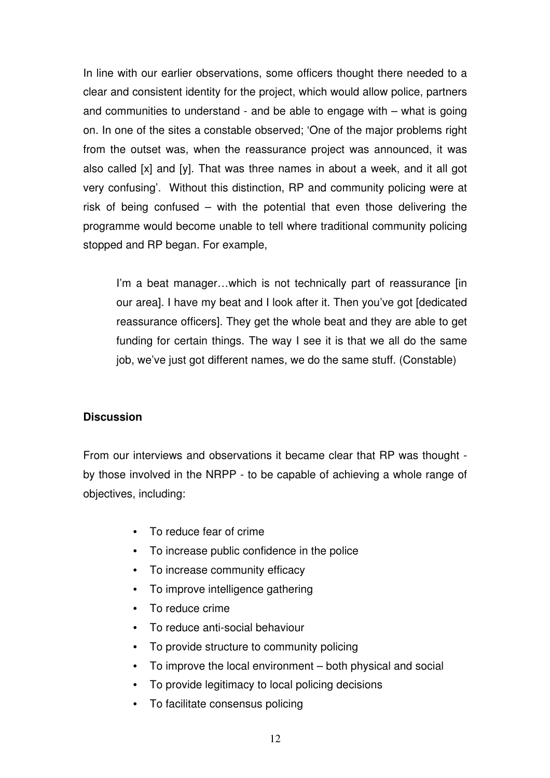In line with our earlier observations, some officers thought there needed to a clear and consistent identity for the project, which would allow police, partners and communities to understand - and be able to engage with – what is going on. In one of the sites a constable observed; 'One of the major problems right from the outset was, when the reassurance project was announced, it was also called [x] and [y]. That was three names in about a week, and it all got very confusing'. Without this distinction, RP and community policing were at risk of being confused – with the potential that even those delivering the programme would become unable to tell where traditional community policing stopped and RP began. For example,

I'm a beat manager...which is not technically part of reassurance [in] our area]. I have my beat and I look after it. Then you've got [dedicated reassurance officers]. They get the whole beat and they are able to get funding for certain things. The way I see it is that we all do the same job, we've just got different names, we do the same stuff. (Constable)

# **Discussion**

From our interviews and observations it became clear that RP was thought by those involved in the NRPP - to be capable of achieving a whole range of objectives, including:

- To reduce fear of crime
- To increase public confidence in the police
- To increase community efficacy
- To improve intelligence gathering
- To reduce crime
- To reduce anti-social behaviour
- To provide structure to community policing
- To improve the local environment both physical and social
- To provide legitimacy to local policing decisions
- To facilitate consensus policing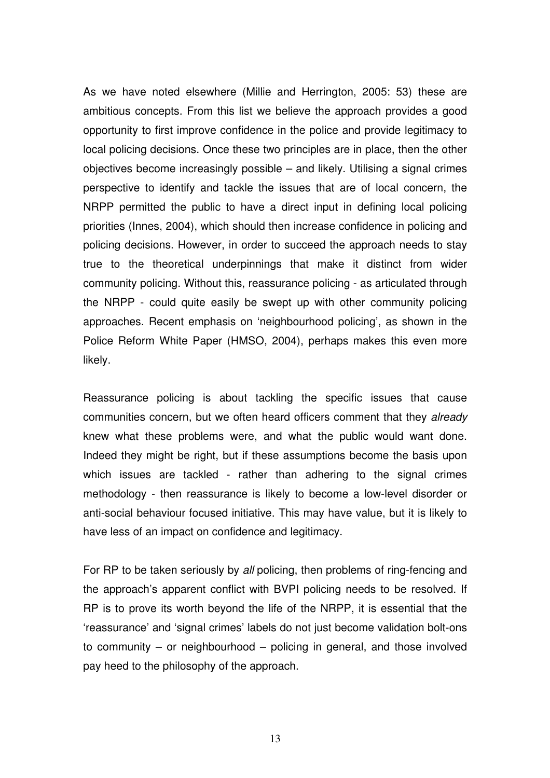As we have noted elsewhere (Millie and Herrington, 2005: 53) these are ambitious concepts. From this list we believe the approach provides a good opportunity to first improve confidence in the police and provide legitimacy to local policing decisions. Once these two principles are in place, then the other objectives become increasingly possible – and likely. Utilising a signal crimes perspective to identify and tackle the issues that are of local concern, the NRPP permitted the public to have a direct input in defining local policing priorities (Innes, 2004), which should then increase confidence in policing and policing decisions. However, in order to succeed the approach needs to stay true to the theoretical underpinnings that make it distinct from wider community policing. Without this, reassurance policing - as articulated through the NRPP - could quite easily be swept up with other community policing approaches. Recent emphasis on 'neighbourhood policing', as shown in the Police Reform White Paper (HMSO, 2004), perhaps makes this even more likely.

Reassurance policing is about tackling the specific issues that cause communities concern, but we often heard officers comment that they already knew what these problems were, and what the public would want done. Indeed they might be right, but if these assumptions become the basis upon which issues are tackled - rather than adhering to the signal crimes methodology - then reassurance is likely to become a low-level disorder or anti-social behaviour focused initiative. This may have value, but it is likely to have less of an impact on confidence and legitimacy.

For RP to be taken seriously by all policing, then problems of ring-fencing and the approach's apparent conflict with BVPI policing needs to be resolved. If RP is to prove its worth beyond the life of the NRPP, it is essential that the 'reassurance' and 'signal crimes' labels do not just become validation bolt-ons to community – or neighbourhood – policing in general, and those involved pay heed to the philosophy of the approach.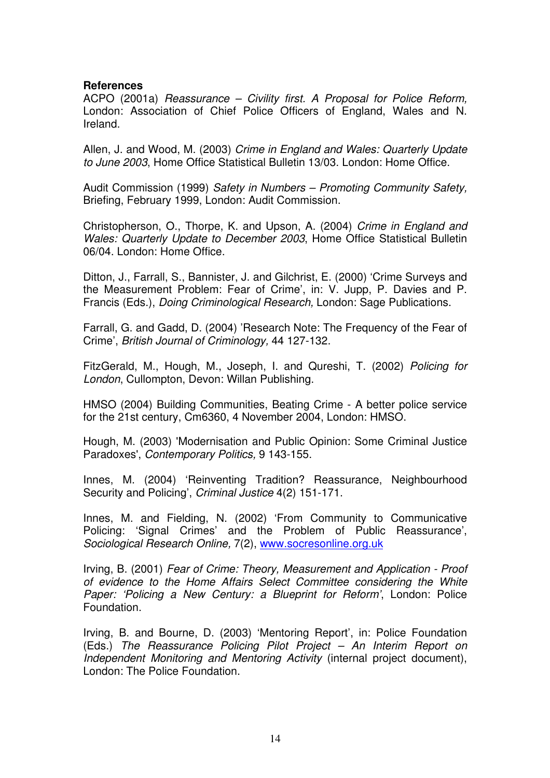### **References**

ACPO (2001a) Reassurance – Civility first. A Proposal for Police Reform, London: Association of Chief Police Officers of England, Wales and N. Ireland.

Allen, J. and Wood, M. (2003) Crime in England and Wales: Quarterly Update to June 2003, Home Office Statistical Bulletin 13/03. London: Home Office.

Audit Commission (1999) Safety in Numbers – Promoting Community Safety, Briefing, February 1999, London: Audit Commission.

Christopherson, O., Thorpe, K. and Upson, A. (2004) Crime in England and Wales: Quarterly Update to December 2003, Home Office Statistical Bulletin 06/04. London: Home Office.

Ditton, J., Farrall, S., Bannister, J. and Gilchrist, E. (2000) 'Crime Surveys and the Measurement Problem: Fear of Crime', in: V. Jupp, P. Davies and P. Francis (Eds.), Doing Criminological Research, London: Sage Publications.

Farrall, G. and Gadd, D. (2004) 'Research Note: The Frequency of the Fear of Crime', British Journal of Criminology, 44 127-132.

FitzGerald, M., Hough, M., Joseph, I. and Qureshi, T. (2002) Policing for London, Cullompton, Devon: Willan Publishing.

HMSO (2004) Building Communities, Beating Crime - A better police service for the 21st century, Cm6360, 4 November 2004, London: HMSO.

Hough, M. (2003) 'Modernisation and Public Opinion: Some Criminal Justice Paradoxes', Contemporary Politics, 9 143-155.

Innes, M. (2004) 'Reinventing Tradition? Reassurance, Neighbourhood Security and Policing', Criminal Justice 4(2) 151-171.

Innes, M. and Fielding, N. (2002) 'From Community to Communicative Policing: 'Signal Crimes' and the Problem of Public Reassurance', Sociological Research Online, 7(2), www.socresonline.org.uk

Irving, B. (2001) Fear of Crime: Theory, Measurement and Application - Proof of evidence to the Home Affairs Select Committee considering the White Paper: 'Policing a New Century: a Blueprint for Reform', London: Police Foundation.

Irving, B. and Bourne, D. (2003) 'Mentoring Report', in: Police Foundation (Eds.) The Reassurance Policing Pilot Project – An Interim Report on Independent Monitoring and Mentoring Activity (internal project document), London: The Police Foundation.